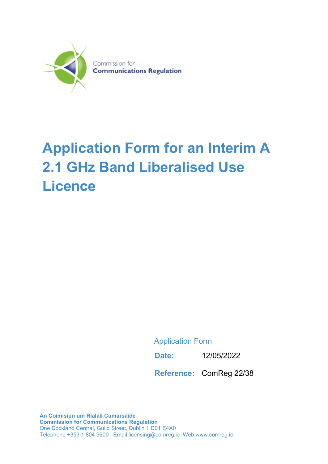

# **Application Form for an Interim A 2.1 GHz Band Liberalised Use Licence**

Application Form

**Date:** 12/05/2022

**Reference:** ComReg 22/38

**An Coimisiún um Rialáil Cumarsáide Commission for Communications Regulation** One Dockland Central, Guild Street, Dublin 1 D01 E4X0 Telephone +353 1 804 9600 Email licensing@comreg.ie Web www.comreg.ie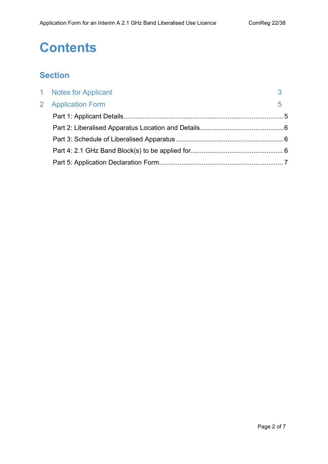## **Contents**

## **Section**

| 1 Notes for Applicant |   |
|-----------------------|---|
| 2 Application Form    | 5 |
|                       |   |
|                       |   |
|                       |   |
|                       |   |
|                       |   |
|                       |   |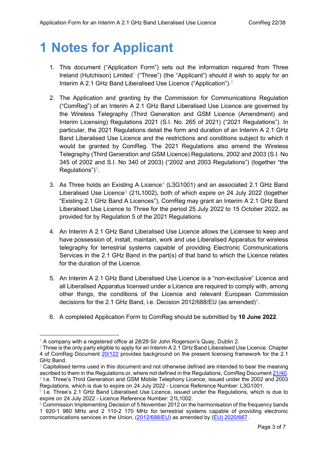## <span id="page-2-0"></span>**1 Notes for Applicant**

- 1. This document ("Application Form") sets out the information required from Three Ireland (Hutchison) Limited<sup>[1](#page-2-1)</sup> ("Three") (the "Applicant") should it wish to apply for an Interim A 2.1 GHz Band Liberalised Use Licence ("Application"). [2](#page-2-2)
- 2. The Application and granting by the Commission for Communications Regulation ("ComReg") of an Interim A 2.1 GHz Band Liberalised Use Licence are governed by the Wireless Telegraphy (Third Generation and GSM Licence (Amendment) and Interim Licensing) Regulations 2021 (S.I. No. 265 of 2021) ("2021 Regulations"). In particular, the 2021 Regulations detail the form and duration of an Interim A 2.1 GHz Band Liberalised Use Licence and the restrictions and conditions subject to which it would be granted by ComReg. The 2021 Regulations also amend the Wireless Telegraphy (Third Generation and GSM Licence) Regulations, 2002 and 2003 (S.I. No 345 of 2002 and S.I. No 340 of 2003) ("2002 and 2003 Regulations") (together "the Regulations") $3$ .
- 3. As Three holds an Existing A Licence<sup>[4](#page-2-4)</sup> (L3G1001) and an associated 2.1 GHz Band Liberalised Use Licence<sup>[5](#page-2-5)</sup> (21L1002), both of which expire on 24 July 2022 (together "Existing 2.1 GHz Band A Licences"), ComReg may grant an Interim A 2.1 GHz Band Liberalised Use Licence to Three for the period 25 July 2022 to 15 October 2022, as provided for by Regulation 5 of the 2021 Regulations.
- 4. An Interim A 2.1 GHz Band Liberalised Use Licence allows the Licensee to keep and have possession of, install, maintain, work and use Liberalised Apparatus for wireless telegraphy for terrestrial systems capable of providing Electronic Communications Services in the 2.1 GHz Band in the part(s) of that band to which the Licence relates for the duration of the Licence.
- 5. An Interim A 2.1 GHz Band Liberalised Use Licence is a "non-exclusive" Licence and all Liberalised Apparatus licensed under a Licence are required to comply with, among other things, the conditions of the Licence and relevant European Commission decisions for the 2.1 GHz Band, i.e. Decision 2012/[6](#page-2-6)88/EU (as amended) $6$ .
- 6. A completed Application Form to ComReg should be submitted by **10 June 2022**.

<span id="page-2-1"></span> $^1$  A company with a registered office at 28/29 Sir John Rogerson's Quay, Dublin 2.<br><sup>2</sup> Three is the only party eligible to apply for an Interim A 2.1 GHz Band Liberalised Use Licence. Chapter

<span id="page-2-2"></span><sup>4</sup> of ComReg Document [20/122](https://www.comreg.ie/publication/multi-band-spectrum-award-response-to-consultation-and-decision-the-700-mhz-duplex-2-1-ghz-2-3-ghz-and-2-6-ghz-bands) provides background on the present licensing framework for the 2.1

<span id="page-2-3"></span>GHz Band.<br><sup>3</sup> Capitalised terms used in this document and not otherwise defined are intended to bear the meaning ascribed to them in the Regulations or, where not defined in the Regulations, ComReg Document 21/40. <sup>4</sup> I.e. Three's Third Generation and GSM Mobile Telephony Licence, issued under the 2002 and 2003 Regulations, which is due to expire on 24 July 2022 - Licence Reference Number: L3G1001.

<span id="page-2-5"></span><span id="page-2-4"></span><sup>5</sup> I.e. Three's 2.1 GHz Band Liberalised Use Licence, issued under the Regulations, which is due to expire on 24 July 2022 - Licence Reference Number: 21L1002.

<span id="page-2-6"></span><sup>&</sup>lt;sup>6</sup> Commission Implementing Decision of 5 November 2012 on the harmonisation of the frequency bands 1 920-1 980 MHz and 2 110-2 170 MHz for terrestrial systems capable of providing electronic communications services in the Union, [\(2012/688/EU\)](https://eur-lex.europa.eu/legal-content/EN/TXT/PDF/?uri=CELEX:32012D0688&from=EN) as amended by [\(EU\) 2020/667.](https://eur-lex.europa.eu/legal-content/EN/TXT/PDF/?uri=CELEX:32020D0667&from=EN)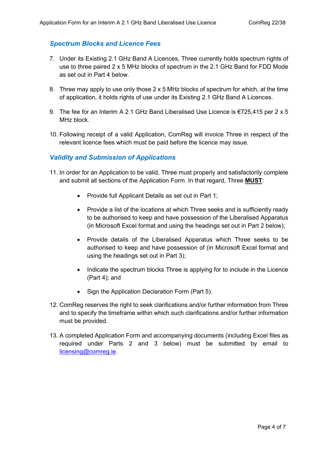#### *Spectrum Blocks and Licence Fees*

- 7. Under its Existing 2.1 GHz Band A Licences, Three currently holds spectrum rights of use to three paired 2 x 5 MHz blocks of spectrum in the 2.1 GHz Band for FDD Mode as set out in Part 4 below.
- 8. Three may apply to use only those 2 x 5 MHz blocks of spectrum for which, at the time of application, it holds rights of use under its Existing 2.1 GHz Band A Licences.
- 9. The fee for an Interim A 2.1 GHz Band Liberalised Use Licence is €725,415 per 2 x 5 MHz block.
- 10. Following receipt of a valid Application, ComReg will invoice Three in respect of the relevant licence fees which must be paid before the licence may issue.

#### *Validity and Submission of Applications*

- 11. In order for an Application to be valid, Three must properly and satisfactorily complete and submit all sections of the Application Form. In that regard, Three **MUST**:
	- Provide full Applicant Details as set out in Part 1;
	- Provide a list of the locations at which Three seeks and is sufficiently ready to be authorised to keep and have possession of the Liberalised Apparatus (in Microsoft Excel format and using the headings set out in Part 2 below);
	- Provide details of the Liberalised Apparatus which Three seeks to be authorised to keep and have possession of (in Microsoft Excel format and using the headings set out in Part 3);
	- Indicate the spectrum blocks Three is applying for to include in the Licence (Part 4); and
	- Sign the Application Declaration Form (Part 5).
- 12. ComReg reserves the right to seek clarifications and/or further information from Three and to specify the timeframe within which such clarifications and/or further information must be provided.
- 13. A completed Application Form and accompanying documents (including Excel files as required under Parts 2 and 3 below) must be submitted by email to [licensing@comreg.ie.](mailto:licensing@comreg.ie)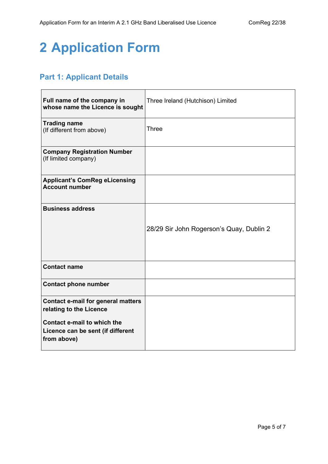## <span id="page-4-0"></span>**2 Application Form**

### <span id="page-4-1"></span>**Part 1: Applicant Details**

| Full name of the company in<br>whose name the Licence is sought                 | Three Ireland (Hutchison) Limited        |
|---------------------------------------------------------------------------------|------------------------------------------|
| <b>Trading name</b><br>(If different from above)                                | <b>Three</b>                             |
| <b>Company Registration Number</b><br>(If limited company)                      |                                          |
| <b>Applicant's ComReg eLicensing</b><br><b>Account number</b>                   |                                          |
| <b>Business address</b>                                                         |                                          |
|                                                                                 | 28/29 Sir John Rogerson's Quay, Dublin 2 |
| <b>Contact name</b>                                                             |                                          |
| <b>Contact phone number</b>                                                     |                                          |
| <b>Contact e-mail for general matters</b><br>relating to the Licence            |                                          |
| Contact e-mail to which the<br>Licence can be sent (if different<br>from above) |                                          |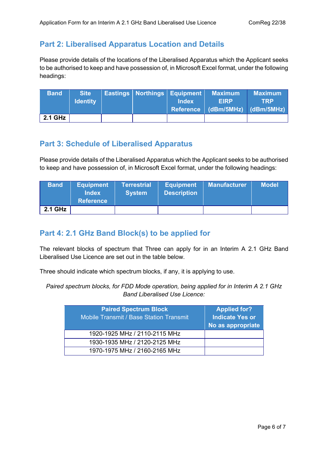### <span id="page-5-0"></span>**Part 2: Liberalised Apparatus Location and Details**

Please provide details of the locations of the Liberalised Apparatus which the Applicant seeks to be authorised to keep and have possession of, in Microsoft Excel format, under the following headings:

| <b>Band</b> | <b>Site</b>     |  | Eastings   Northings   Equipment | Maximum                         | <b>Maximum</b> |
|-------------|-----------------|--|----------------------------------|---------------------------------|----------------|
|             | <b>Identity</b> |  | <b>Index</b>                     | <b>EIRP</b>                     | TRP            |
|             |                 |  |                                  | Reference (dBm/5MHz) (dBm/5MHz) |                |
| 2.1 GHz     |                 |  |                                  |                                 |                |

#### <span id="page-5-1"></span>**Part 3: Schedule of Liberalised Apparatus**

Please provide details of the Liberalised Apparatus which the Applicant seeks to be authorised to keep and have possession of, in Microsoft Excel format, under the following headings:

| <b>Band</b> | <b>Equipment</b><br><b>Index</b><br><b>Reference</b> | <b>Terrestrial</b><br><b>System</b> | <b>Equipment</b><br><b>Description</b> | <b>Manufacturer</b> | <b>Model</b> |
|-------------|------------------------------------------------------|-------------------------------------|----------------------------------------|---------------------|--------------|
| 2.1 GHz     |                                                      |                                     |                                        |                     |              |

### <span id="page-5-2"></span>**Part 4: 2.1 GHz Band Block(s) to be applied for**

The relevant blocks of spectrum that Three can apply for in an Interim A 2.1 GHz Band Liberalised Use Licence are set out in the table below.

Three should indicate which spectrum blocks, if any, it is applying to use.

*Paired spectrum blocks, for FDD Mode operation, being applied for in Interim A 2.1 GHz Band Liberalised Use Licence:* 

| <b>Paired Spectrum Block</b><br><b>Mobile Transmit / Base Station Transmit</b> | <b>Applied for?</b><br><b>Indicate Yes or</b><br>No as appropriate |
|--------------------------------------------------------------------------------|--------------------------------------------------------------------|
| 1920-1925 MHz / 2110-2115 MHz                                                  |                                                                    |
| 1930-1935 MHz / 2120-2125 MHz                                                  |                                                                    |
| 1970-1975 MHz / 2160-2165 MHz                                                  |                                                                    |